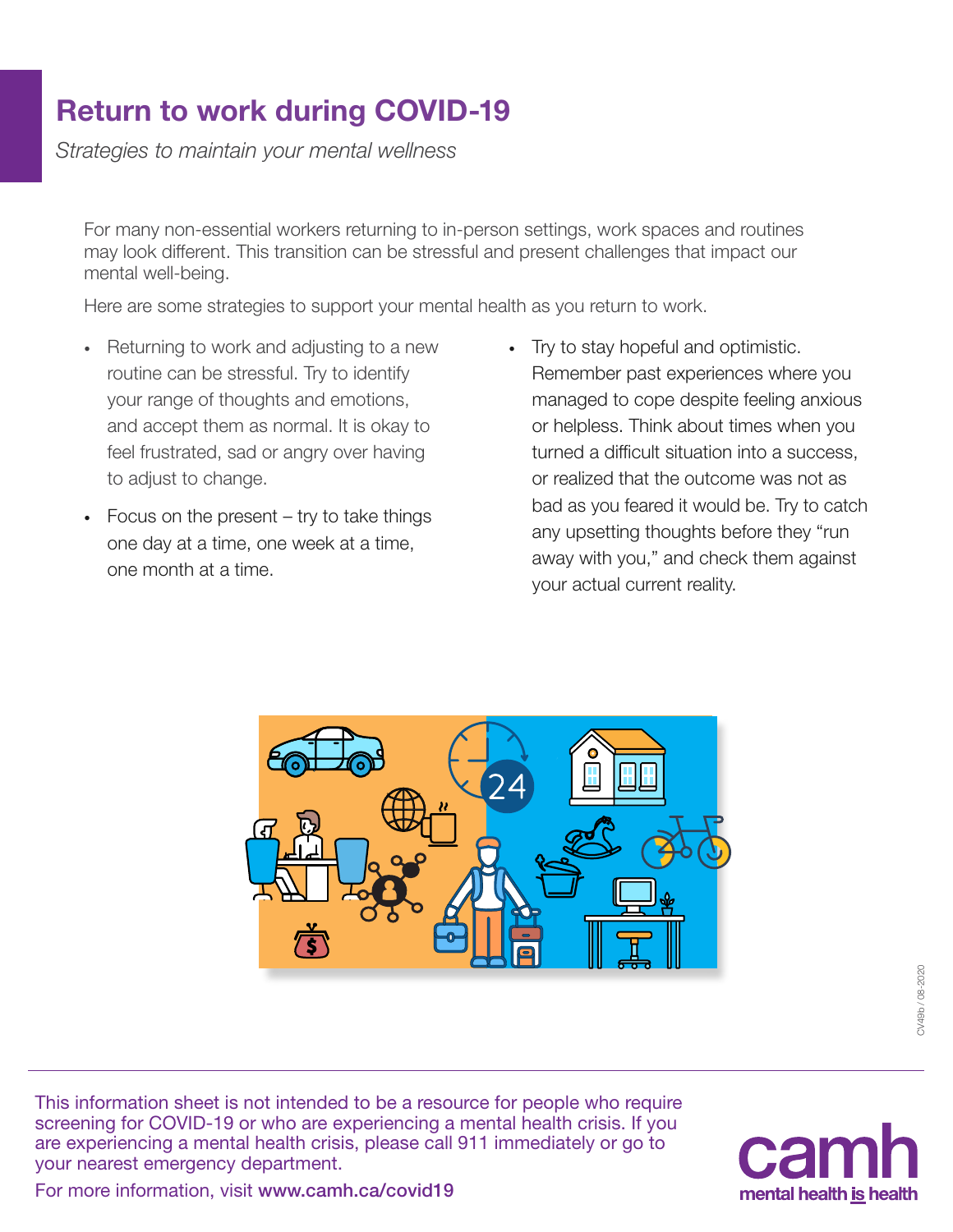## Return to work during COVID-19

*Strategies to maintain your mental wellness*

For many non-essential workers returning to in-person settings, work spaces and routines may look different. This transition can be stressful and present challenges that impact our mental well-being.

Here are some strategies to support your mental health as you return to work.

- · Returning to work and adjusting to a new routine can be stressful. Try to identify your range of thoughts and emotions, and accept them as normal. It is okay to feel frustrated, sad or angry over having to adjust to change.
- · Focus on the present try to take things one day at a time, one week at a time, one month at a time.
- · Try to stay hopeful and optimistic. Remember past experiences where you managed to cope despite feeling anxious or helpless. Think about times when you turned a difficult situation into a success, or realized that the outcome was not as bad as you feared it would be. Try to catch any upsetting thoughts before they "run away with you," and check them against your actual current reality.



This information sheet is not intended to be a resource for people who require screening for COVID-19 or who are experiencing a mental health crisis. If you are experiencing a mental health crisis, please call 911 immediately or go to your nearest emergency department.



For more information, visit [www.camh.ca/covid19](http://www.camh.ca/covid19)